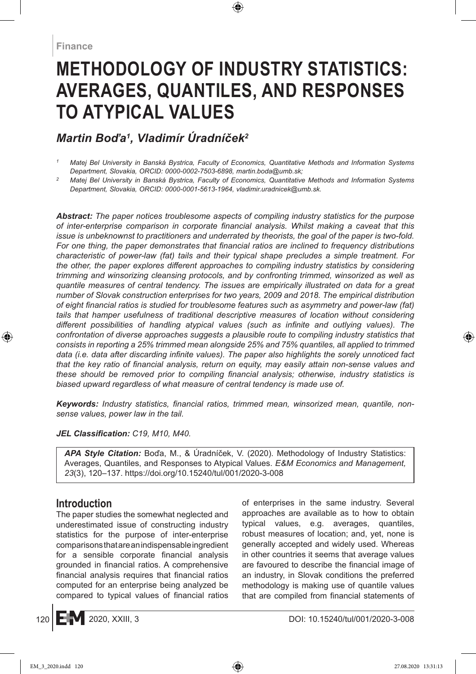# **Methodology of Industry Statistics: Averages, Quantiles, and Responses to Atypical Values**

# *Martin Boďa<sup>1</sup> , Vladimír Úradníček<sup>2</sup>*

*<sup>2</sup> Matej Bel University in Banská Bystrica, Faculty of Economics, Quantitative Methods and Information Systems Department, Slovakia, ORCID: 0000-0001-5613-1964, vladimir.uradnicek@umb.sk.*

*Abstract: The paper notices troublesome aspects of compiling industry statistics for the purpose of inter-enterprise comparison in corporate financial analysis. Whilst making a caveat that this issue is unbeknownst to practitioners and underrated by theorists, the goal of the paper is two-fold. For one thing, the paper demonstrates that financial ratios are inclined to frequency distributions characteristic of power-law (fat) tails and their typical shape precludes a simple treatment. For*  the other, the paper explores different approaches to compiling industry statistics by considering *trimming and winsorizing cleansing protocols, and by confronting trimmed, winsorized as well as quantile measures of central tendency. The issues are empirically illustrated on data for a great number of Slovak construction enterprises for two years, 2009 and 2018. The empirical distribution of eight financial ratios is studied for troublesome features such as asymmetry and power-law (fat) tails that hamper usefulness of traditional descriptive measures of location without considering different possibilities of handling atypical values (such as infinite and outlying values). The confrontation of diverse approaches suggests a plausible route to compiling industry statistics that consists in reporting a 25% trimmed mean alongside 25% and 75% quantiles, all applied to trimmed data (i.e. data after discarding infinite values). The paper also highlights the sorely unnoticed fact that the key ratio of financial analysis, return on equity, may easily attain non-sense values and these should be removed prior to compiling financial analysis; otherwise, industry statistics is biased upward regardless of what measure of central tendency is made use of.*

*Keywords: Industry statistics, financial ratios, trimmed mean, winsorized mean, quantile, nonsense values, power law in the tail.*

#### *JEL Classification: C19, M10, M40.*

*APA Style Citation:* Boďa, M., & Úradníček, V. (2020). Methodology of Industry Statistics: Averages, Quantiles, and Responses to Atypical Values. *E&M Economics and Management, 23*(3), 120–137. https://doi.org/10.15240/tul/001/2020-3-008

# **Introduction**

The paper studies the somewhat neglected and underestimated issue of constructing industry statistics for the purpose of inter-enterprise comparisons that are an indispensable ingredient for a sensible corporate financial analysis grounded in financial ratios. A comprehensive financial analysis requires that financial ratios computed for an enterprise being analyzed be compared to typical values of financial ratios of enterprises in the same industry. Several approaches are available as to how to obtain typical values, e.g. averages, quantiles, robust measures of location; and, yet, none is generally accepted and widely used. Whereas in other countries it seems that average values are favoured to describe the financial image of an industry, in Slovak conditions the preferred methodology is making use of quantile values that are compiled from financial statements of

*<sup>1</sup> Matej Bel University in Banská Bystrica, Faculty of Economics, Quantitative Methods and Information Systems Department, Slovakia, ORCID: 0000-0002-7503-6898, martin.boda@umb.sk;*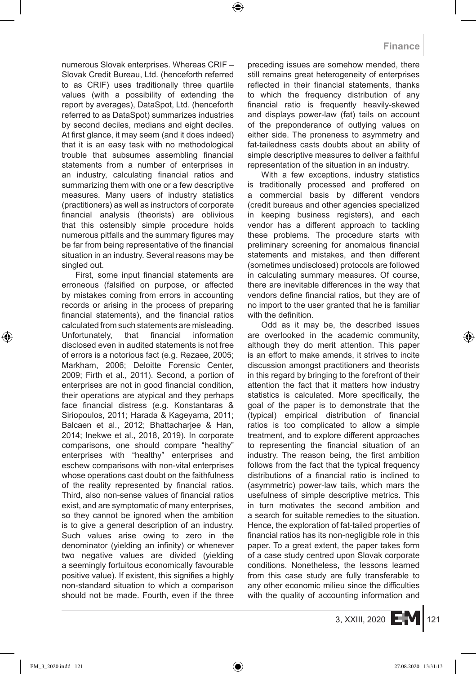numerous Slovak enterprises. Whereas CRIF – Slovak Credit Bureau, Ltd. (henceforth referred to as CRIF) uses traditionally three quartile values (with a possibility of extending the report by averages), DataSpot, Ltd. (henceforth referred to as DataSpot) summarizes industries by second deciles, medians and eight deciles. At first glance, it may seem (and it does indeed) that it is an easy task with no methodological trouble that subsumes assembling financial statements from a number of enterprises in an industry, calculating financial ratios and summarizing them with one or a few descriptive measures. Many users of industry statistics (practitioners) as well as instructors of corporate financial analysis (theorists) are oblivious that this ostensibly simple procedure holds numerous pitfalls and the summary figures may be far from being representative of the financial situation in an industry. Several reasons may be singled out.

First, some input financial statements are erroneous (falsified on purpose, or affected by mistakes coming from errors in accounting records or arising in the process of preparing financial statements), and the financial ratios calculated from such statements are misleading. Unfortunately, that financial information disclosed even in audited statements is not free of errors is a notorious fact (e.g. Rezaee, 2005; Markham, 2006; Deloitte Forensic Center, 2009; Firth et al., 2011). Second, a portion of enterprises are not in good financial condition, their operations are atypical and they perhaps face financial distress (e.g. Konstantaras & Siriopoulos, 2011; Harada & Kageyama, 2011; Balcaen et al., 2012; Bhattacharjee & Han, 2014; Inekwe et al., 2018, 2019). In corporate comparisons, one should compare "healthy" enterprises with "healthy" enterprises and eschew comparisons with non-vital enterprises whose operations cast doubt on the faithfulness of the reality represented by financial ratios. Third, also non-sense values of financial ratios exist, and are symptomatic of many enterprises, so they cannot be ignored when the ambition is to give a general description of an industry. Such values arise owing to zero in the denominator (yielding an infinity) or whenever two negative values are divided (yielding a seemingly fortuitous economically favourable positive value). If existent, this signifies a highly non-standard situation to which a comparison should not be made. Fourth, even if the three preceding issues are somehow mended, there still remains great heterogeneity of enterprises reflected in their financial statements, thanks to which the frequency distribution of any financial ratio is frequently heavily-skewed and displays power-law (fat) tails on account of the preponderance of outlying values on either side. The proneness to asymmetry and fat-tailedness casts doubts about an ability of simple descriptive measures to deliver a faithful representation of the situation in an industry.

With a few exceptions, industry statistics is traditionally processed and proffered on a commercial basis by different vendors (credit bureaus and other agencies specialized in keeping business registers), and each vendor has a different approach to tackling these problems. The procedure starts with preliminary screening for anomalous financial statements and mistakes, and then different (sometimes undisclosed) protocols are followed in calculating summary measures. Of course, there are inevitable differences in the way that vendors define financial ratios, but they are of no import to the user granted that he is familiar with the definition.

Odd as it may be, the described issues are overlooked in the academic community, although they do merit attention. This paper is an effort to make amends, it strives to incite discussion amongst practitioners and theorists in this regard by bringing to the forefront of their attention the fact that it matters how industry statistics is calculated. More specifically, the goal of the paper is to demonstrate that the (typical) empirical distribution of financial ratios is too complicated to allow a simple treatment, and to explore different approaches to representing the financial situation of an industry. The reason being, the first ambition follows from the fact that the typical frequency distributions of a financial ratio is inclined to (asymmetric) power-law tails, which mars the usefulness of simple descriptive metrics. This in turn motivates the second ambition and a search for suitable remedies to the situation. Hence, the exploration of fat-tailed properties of financial ratios has its non-negligible role in this paper. To a great extent, the paper takes form of a case study centred upon Slovak corporate conditions. Nonetheless, the lessons learned from this case study are fully transferable to any other economic milieu since the difficulties with the quality of accounting information and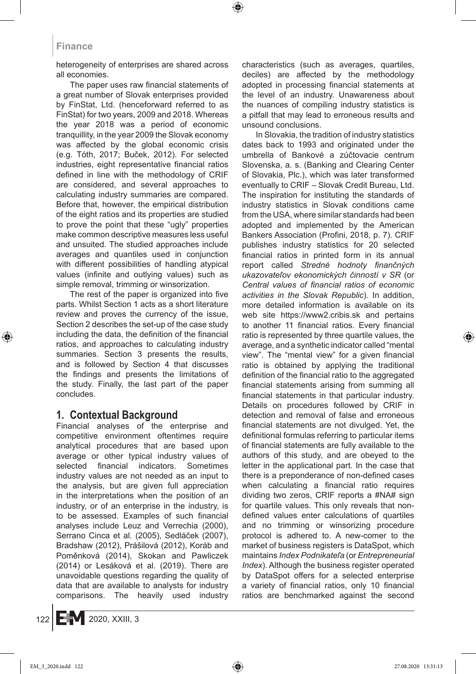heterogeneity of enterprises are shared across all economies.

The paper uses raw financial statements of a great number of Slovak enterprises provided by FinStat, Ltd. (henceforward referred to as FinStat) for two years, 2009 and 2018. Whereas the year 2018 was a period of economic tranquillity, in the year 2009 the Slovak economy was affected by the global economic crisis (e.g. Tóth, 2017; Buček, 2012). For selected industries, eight representative financial ratios defined in line with the methodology of CRIF are considered, and several approaches to calculating industry summaries are compared. Before that, however, the empirical distribution of the eight ratios and its properties are studied to prove the point that these "ugly" properties make common descriptive measures less useful and unsuited. The studied approaches include averages and quantiles used in conjunction with different possibilities of handling atypical values (infinite and outlying values) such as simple removal, trimming or winsorization.

The rest of the paper is organized into five parts. Whilst Section 1 acts as a short literature review and proves the currency of the issue, Section 2 describes the set-up of the case study including the data, the definition of the financial ratios, and approaches to calculating industry summaries. Section 3 presents the results, and is followed by Section 4 that discusses the findings and presents the limitations of the study. Finally, the last part of the paper concludes.

### **1. Contextual Background**

Financial analyses of the enterprise and competitive environment oftentimes require analytical procedures that are based upon average or other typical industry values of selected financial indicators. Sometimes industry values are not needed as an input to the analysis, but are given full appreciation in the interpretations when the position of an industry, or of an enterprise in the industry, is to be assessed. Examples of such financial analyses include Leuz and Verrechia (2000), Serrano Cinca et al. (2005), Sedláček (2007), Bradshaw (2012), Prášilová (2012), Koráb and Poměnková (2014), Skokan and Pawliczek (2014) or Lesáková et al. (2019). There are unavoidable questions regarding the quality of data that are available to analysts for industry comparisons. The heavily used industry characteristics (such as averages, quartiles, deciles) are affected by the methodology adopted in processing financial statements at the level of an industry. Unawareness about the nuances of compiling industry statistics is a pitfall that may lead to erroneous results and unsound conclusions.

In Slovakia, the tradition of industry statistics dates back to 1993 and originated under the umbrella of Bankové a zúčtovacie centrum Slovenska, a. s. (Banking and Clearing Center of Slovakia, Plc.), which was later transformed eventually to CRIF – Slovak Credit Bureau, Ltd. The inspiration for instituting the standards of industry statistics in Slovak conditions came from the USA, where similar standards had been adopted and implemented by the American Bankers Association (Profini, 2018, p. 7). CRIF publishes industry statistics for 20 selected financial ratios in printed form in its annual report called *Stredné hodnoty finančných ukazovateľov ekonomických činností v SR* (or *Central values of financial ratios of economic activities in the Slovak Republic*). In addition, more detailed information is available on its web site https://www2.cribis.sk and pertains to another 11 financial ratios. Every financial ratio is represented by three quartile values, the average, and a synthetic indicator called "mental view". The "mental view" for a given financial ratio is obtained by applying the traditional definition of the financial ratio to the aggregated financial statements arising from summing all financial statements in that particular industry. Details on procedures followed by CRIF in detection and removal of false and erroneous financial statements are not divulged. Yet, the definitional formulas referring to particular items of financial statements are fully available to the authors of this study, and are obeyed to the letter in the applicational part. In the case that there is a preponderance of non-defined cases when calculating a financial ratio requires dividing two zeros, CRIF reports a #NA# sign for quartile values. This only reveals that nondefined values enter calculations of quartiles and no trimming or winsorizing procedure protocol is adhered to. A new-comer to the market of business registers is DataSpot, which maintains *Index Podnikateľa* (or *Entrepreneurial Index*). Although the business register operated by DataSpot offers for a selected enterprise a variety of financial ratios, only 10 financial ratios are benchmarked against the second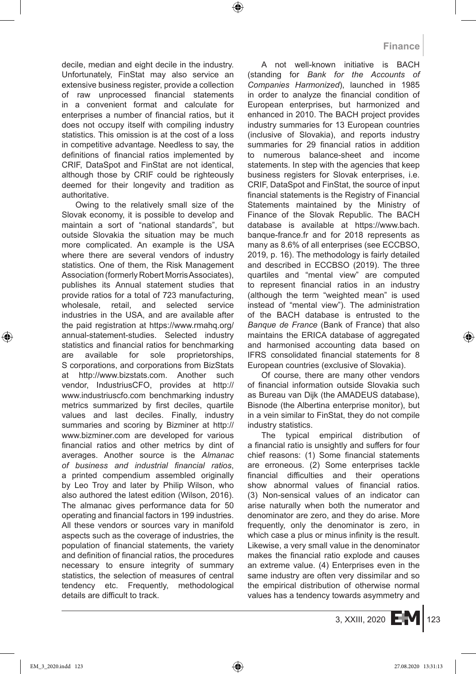decile, median and eight decile in the industry. Unfortunately, FinStat may also service an extensive business register, provide a collection of raw unprocessed financial statements in a convenient format and calculate for enterprises a number of financial ratios, but it does not occupy itself with compiling industry statistics. This omission is at the cost of a loss in competitive advantage. Needless to say, the definitions of financial ratios implemented by CRIF, DataSpot and FinStat are not identical, although those by CRIF could be righteously deemed for their longevity and tradition as authoritative.

Owing to the relatively small size of the Slovak economy, it is possible to develop and maintain a sort of "national standards", but outside Slovakia the situation may be much more complicated. An example is the USA where there are several vendors of industry statistics. One of them, the Risk Management Association (formerly Robert Morris Associates), publishes its Annual statement studies that provide ratios for a total of 723 manufacturing, wholesale, retail, and selected service industries in the USA, and are available after the paid registration at https://www.rmahq.org/ annual-statement-studies. Selected industry statistics and financial ratios for benchmarking are available for sole proprietorships, S corporations, and corporations from BizStats at http://www.bizstats.com. Another such vendor, IndustriusCFO, provides at http:// www.industriuscfo.com benchmarking industry metrics summarized by first deciles, quartile values and last deciles. Finally, industry summaries and scoring by Bizminer at http:// www.bizminer.com are developed for various financial ratios and other metrics by dint of averages. Another source is the *Almanac of business and industrial financial ratios*, a printed compendium assembled originally by Leo Troy and later by Philip Wilson, who also authored the latest edition (Wilson, 2016). The almanac gives performance data for 50 operating and financial factors in 199 industries. All these vendors or sources vary in manifold aspects such as the coverage of industries, the population of financial statements, the variety and definition of financial ratios, the procedures necessary to ensure integrity of summary statistics, the selection of measures of central tendency etc. Frequently, methodological details are difficult to track.

A not well-known initiative is BACH (standing for *Bank for the Accounts of Companies Harmonized*), launched in 1985 in order to analyze the financial condition of European enterprises, but harmonized and enhanced in 2010. The BACH project provides industry summaries for 13 European countries (inclusive of Slovakia), and reports industry summaries for 29 financial ratios in addition to numerous balance-sheet and income statements. In step with the agencies that keep business registers for Slovak enterprises, i.e. CRIF, DataSpot and FinStat, the source of input financial statements is the Registry of Financial Statements maintained by the Ministry of Finance of the Slovak Republic. The BACH database is available at https://www.bach. banque-france.fr and for 2018 represents as many as 8.6% of all enterprises (see ECCBSO, 2019, p. 16). The methodology is fairly detailed and described in ECCBSO (2019). The three quartiles and "mental view" are computed to represent financial ratios in an industry (although the term "weighted mean" is used instead of "mental view"). The administration of the BACH database is entrusted to the *Banque de France* (Bank of France) that also maintains the ERICA database of aggregated and harmonised accounting data based on IFRS consolidated financial statements for 8 European countries (exclusive of Slovakia).

Of course, there are many other vendors of financial information outside Slovakia such as Bureau van Dijk (the AMADEUS database), Bisnode (the Albertina enterprise monitor), but in a vein similar to FinStat, they do not compile industry statistics.

The typical empirical distribution of a financial ratio is unsightly and suffers for four chief reasons: (1) Some financial statements are erroneous. (2) Some enterprises tackle financial difficulties and their operations show abnormal values of financial ratios. (3) Non-sensical values of an indicator can arise naturally when both the numerator and denominator are zero, and they do arise. More frequently, only the denominator is zero, in which case a plus or minus infinity is the result. Likewise, a very small value in the denominator makes the financial ratio explode and causes an extreme value. (4) Enterprises even in the same industry are often very dissimilar and so the empirical distribution of otherwise normal values has a tendency towards asymmetry and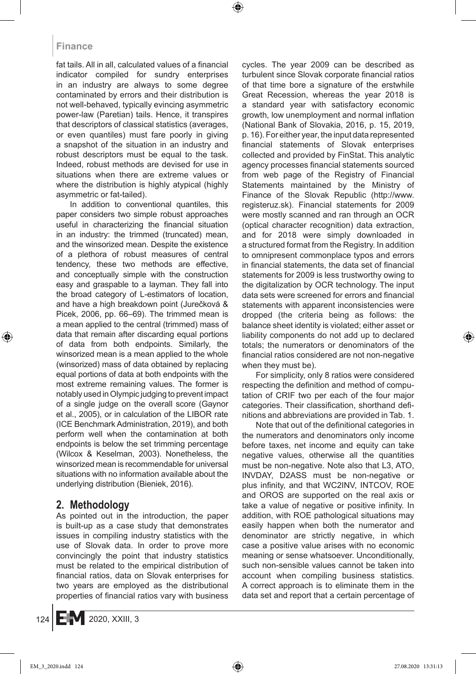fat tails. All in all, calculated values of a financial indicator compiled for sundry enterprises in an industry are always to some degree contaminated by errors and their distribution is not well-behaved, typically evincing asymmetric power-law (Paretian) tails. Hence, it transpires that descriptors of classical statistics (averages, or even quantiles) must fare poorly in giving a snapshot of the situation in an industry and robust descriptors must be equal to the task. Indeed, robust methods are devised for use in situations when there are extreme values or where the distribution is highly atypical (highly asymmetric or fat-tailed).

In addition to conventional quantiles, this paper considers two simple robust approaches useful in characterizing the financial situation in an industry: the trimmed (truncated) mean, and the winsorized mean. Despite the existence of a plethora of robust measures of central tendency, these two methods are effective, and conceptually simple with the construction easy and graspable to a layman. They fall into the broad category of L-estimators of location, and have a high breakdown point (Jurečková & Picek, 2006, pp. 66–69). The trimmed mean is a mean applied to the central (trimmed) mass of data that remain after discarding equal portions of data from both endpoints. Similarly, the winsorized mean is a mean applied to the whole (winsorized) mass of data obtained by replacing equal portions of data at both endpoints with the most extreme remaining values. The former is notably used in Olympic judging to prevent impact of a single judge on the overall score (Gaynor et al., 2005), or in calculation of the LIBOR rate (ICE Benchmark Administration, 2019), and both perform well when the contamination at both endpoints is below the set trimming percentage (Wilcox & Keselman, 2003). Nonetheless, the winsorized mean is recommendable for universal situations with no information available about the underlying distribution (Bieniek, 2016).

# **2. Methodology**

As pointed out in the introduction, the paper is built-up as a case study that demonstrates issues in compiling industry statistics with the use of Slovak data. In order to prove more convincingly the point that industry statistics must be related to the empirical distribution of financial ratios, data on Slovak enterprises for two years are employed as the distributional properties of financial ratios vary with business cycles. The year 2009 can be described as turbulent since Slovak corporate financial ratios of that time bore a signature of the erstwhile Great Recession, whereas the year 2018 is a standard year with satisfactory economic growth, low unemployment and normal inflation (National Bank of Slovakia, 2016, p. 15, 2019, p. 16). For either year, the input data represented financial statements of Slovak enterprises collected and provided by FinStat. This analytic agency processes financial statements sourced from web page of the Registry of Financial Statements maintained by the Ministry of Finance of the Slovak Republic (http://www. registeruz.sk). Financial statements for 2009 were mostly scanned and ran through an OCR (optical character recognition) data extraction, and for 2018 were simply downloaded in a structured format from the Registry. In addition to omnipresent commonplace typos and errors in financial statements, the data set of financial statements for 2009 is less trustworthy owing to the digitalization by OCR technology. The input data sets were screened for errors and financial statements with apparent inconsistencies were dropped (the criteria being as follows: the balance sheet identity is violated; either asset or liability components do not add up to declared totals; the numerators or denominators of the financial ratios considered are not non-negative when they must be).

For simplicity, only 8 ratios were considered respecting the definition and method of computation of CRIF two per each of the four major categories. Their classification, shorthand definitions and abbreviations are provided in Tab. 1.

Note that out of the definitional categories in the numerators and denominators only income before taxes, net income and equity can take negative values, otherwise all the quantities must be non-negative. Note also that L3, ATO, INVDAY, D2ASS must be non-negative or plus infinity, and that WC2INV, INTCOV, ROE and OROS are supported on the real axis or take a value of negative or positive infinity. In addition, with ROE pathological situations may easily happen when both the numerator and denominator are strictly negative, in which case a positive value arises with no economic meaning or sense whatsoever. Unconditionally, such non-sensible values cannot be taken into account when compiling business statistics. A correct approach is to eliminate them in the data set and report that a certain percentage of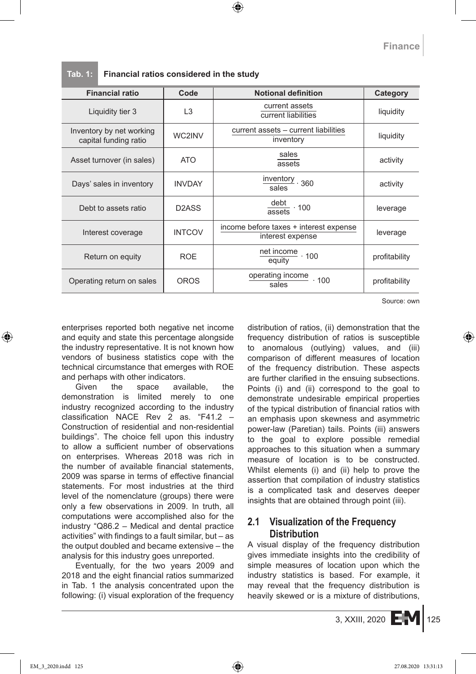**Tab. 1: Financial ratios considered in the study**

| <b>Financial ratio</b>                            | Code               | <b>Notional definition</b>                                 | Category      |
|---------------------------------------------------|--------------------|------------------------------------------------------------|---------------|
| Liquidity tier 3                                  | L <sub>3</sub>     | current assets<br>current liabilities                      | liquidity     |
| Inventory by net working<br>capital funding ratio | WC2INV             | current assets - current liabilities<br>inventory          | liquidity     |
| Asset turnover (in sales)                         | <b>ATO</b>         | sales<br>assets                                            | activity      |
| Days' sales in inventory                          | <b>INVDAY</b>      | $\frac{\text{inventory}}{360}$<br>sales                    | activity      |
| Debt to assets ratio                              | D <sub>2</sub> ASS | $\frac{\text{debt}}{\text{assets}} \cdot 100$              | leverage      |
| Interest coverage                                 | <b>INTCOV</b>      | income before taxes + interest expense<br>interest expense | leverage      |
| Return on equity                                  | <b>ROE</b>         | $\frac{\text{net income}}{\text{equity}} \cdot 100$        | profitability |
| Operating return on sales                         | <b>OROS</b>        | operating income · 100<br>$\frac{1}{\text{sales}}$         | profitability |

Source: own

enterprises reported both negative net income and equity and state this percentage alongside the industry representative. It is not known how vendors of business statistics cope with the technical circumstance that emerges with ROE and perhaps with other indicators.

Given the space available, the demonstration is limited merely to one industry recognized according to the industry classification NACE Rev 2 as. "F41.2 – Construction of residential and non-residential buildings". The choice fell upon this industry to allow a sufficient number of observations on enterprises. Whereas 2018 was rich in the number of available financial statements, 2009 was sparse in terms of effective financial statements. For most industries at the third level of the nomenclature (groups) there were only a few observations in 2009. In truth, all computations were accomplished also for the industry "Q86.2 – Medical and dental practice activities" with findings to a fault similar, but – as the output doubled and became extensive – the analysis for this industry goes unreported.

Eventually, for the two years 2009 and 2018 and the eight financial ratios summarized in Tab. 1 the analysis concentrated upon the following: (i) visual exploration of the frequency distribution of ratios, (ii) demonstration that the frequency distribution of ratios is susceptible to anomalous (outlying) values, and (iii) comparison of different measures of location of the frequency distribution. These aspects are further clarified in the ensuing subsections. Points (i) and (ii) correspond to the goal to demonstrate undesirable empirical properties of the typical distribution of financial ratios with an emphasis upon skewness and asymmetric power-law (Paretian) tails. Points (iii) answers to the goal to explore possible remedial approaches to this situation when a summary measure of location is to be constructed. Whilst elements (i) and (ii) help to prove the assertion that compilation of industry statistics is a complicated task and deserves deeper insights that are obtained through point (iii).

# **2.1 Visualization of the Frequency Distribution**

A visual display of the frequency distribution gives immediate insights into the credibility of simple measures of location upon which the industry statistics is based. For example, it may reveal that the frequency distribution is heavily skewed or is a mixture of distributions,

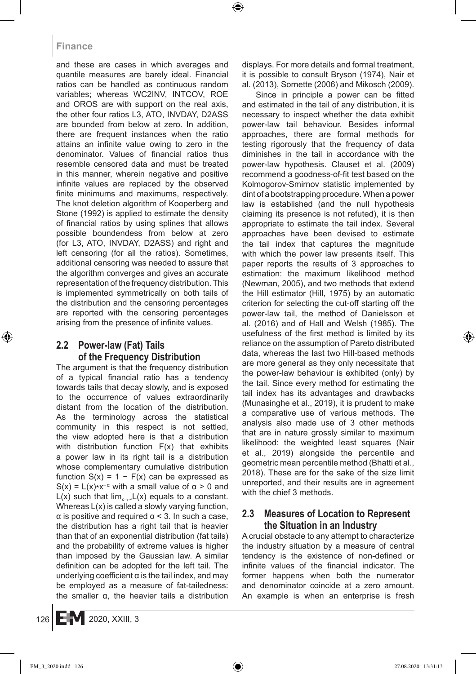and these are cases in which averages and quantile measures are barely ideal. Financial ratios can be handled as continuous random variables; whereas WC2INV, INTCOV, ROE and OROS are with support on the real axis, the other four ratios L3, ATO, INVDAY, D2ASS are bounded from below at zero. In addition, there are frequent instances when the ratio attains an infinite value owing to zero in the denominator. Values of financial ratios thus resemble censored data and must be treated in this manner, wherein negative and positive infinite values are replaced by the observed finite minimums and maximums, respectively. The knot deletion algorithm of Kooperberg and Stone (1992) is applied to estimate the density of financial ratios by using splines that allows possible boundendess from below at zero (for L3, ATO, INVDAY, D2ASS) and right and left censoring (for all the ratios). Sometimes, additional censoring was needed to assure that the algorithm converges and gives an accurate representation of the frequency distribution. This is implemented symmetrically on both tails of the distribution and the censoring percentages are reported with the censoring percentages arising from the presence of infinite values.

# **2.2 Power-law (Fat) Tails of the Frequency Distribution**

The argument is that the frequency distribution of a typical financial ratio has a tendency towards tails that decay slowly, and is exposed to the occurrence of values extraordinarily distant from the location of the distribution. As the terminology across the statistical community in this respect is not settled, the view adopted here is that a distribution with distribution function F(x) that exhibits a power law in its right tail is a distribution whose complementary cumulative distribution function  $S(x) = 1 - F(x)$  can be expressed as S(x) =  $L(x)*x^{-\alpha}$  with a small value of  $\alpha > 0$  and L(x) such that  $\lim_{x\to\infty} L(x)$  equals to a constant. Whereas L(x) is called a slowly varying function,  $\alpha$  is positive and required  $\alpha$  < 3. In such a case, the distribution has a right tail that is heavier than that of an exponential distribution (fat tails) and the probability of extreme values is higher than imposed by the Gaussian law. A similar definition can be adopted for the left tail. The underlying coefficient  $\alpha$  is the tail index, and may be employed as a measure of fat-tailedness: the smaller α, the heavier tails a distribution displays. For more details and formal treatment, it is possible to consult Bryson (1974), Nair et al. (2013), Sornette (2006) and Mikosch (2009).

Since in principle a power can be fitted and estimated in the tail of any distribution, it is necessary to inspect whether the data exhibit power-law tail behaviour. Besides informal approaches, there are formal methods for testing rigorously that the frequency of data diminishes in the tail in accordance with the power-law hypothesis. Clauset et al. (2009) recommend a goodness-of-fit test based on the Kolmogorov-Smirnov statistic implemented by dint of a bootstrapping procedure. When a power law is established (and the null hypothesis claiming its presence is not refuted), it is then appropriate to estimate the tail index. Several approaches have been devised to estimate the tail index that captures the magnitude with which the power law presents itself. This paper reports the results of 3 approaches to estimation: the maximum likelihood method (Newman, 2005), and two methods that extend the Hill estimator (Hill, 1975) by an automatic criterion for selecting the cut-off starting off the power-law tail, the method of Danielsson et al. (2016) and of Hall and Welsh (1985). The usefulness of the first method is limited by its reliance on the assumption of Pareto distributed data, whereas the last two Hill-based methods are more general as they only necessitate that the power-law behaviour is exhibited (only) by the tail. Since every method for estimating the tail index has its advantages and drawbacks (Munasinghe et al., 2019), it is prudent to make a comparative use of various methods. The analysis also made use of 3 other methods that are in nature grossly similar to maximum likelihood: the weighted least squares (Nair et al., 2019) alongside the percentile and geometric mean percentile method (Bhatti et al., 2018). These are for the sake of the size limit unreported, and their results are in agreement with the chief 3 methods.

### **2.3 Measures of Location to Represent the Situation in an Industry**

A crucial obstacle to any attempt to characterize the industry situation by a measure of central tendency is the existence of non-defined or infinite values of the financial indicator. The former happens when both the numerator and denominator coincide at a zero amount. An example is when an enterprise is fresh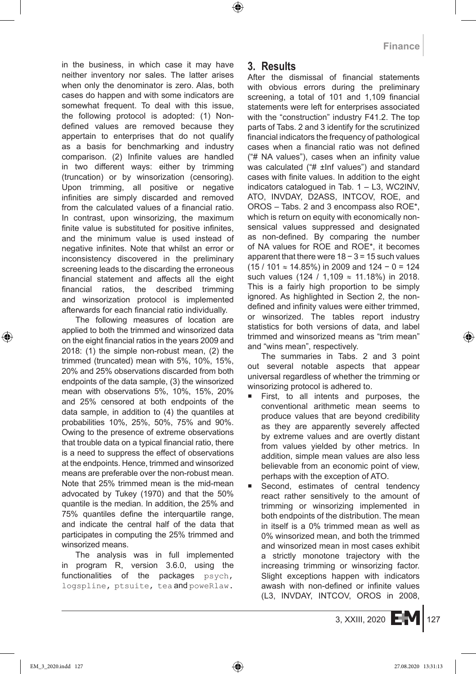in the business, in which case it may have neither inventory nor sales. The latter arises when only the denominator is zero. Alas, both cases do happen and with some indicators are somewhat frequent. To deal with this issue, the following protocol is adopted: (1) Nondefined values are removed because they appertain to enterprises that do not qualify as a basis for benchmarking and industry comparison. (2) Infinite values are handled in two different ways: either by trimming (truncation) or by winsorization (censoring). Upon trimming, all positive or negative infinities are simply discarded and removed from the calculated values of a financial ratio. In contrast, upon winsorizing, the maximum finite value is substituted for positive infinites, and the minimum value is used instead of negative infinites. Note that whilst an error or inconsistency discovered in the preliminary screening leads to the discarding the erroneous financial statement and affects all the eight financial ratios, the described trimming and winsorization protocol is implemented afterwards for each financial ratio individually.

The following measures of location are applied to both the trimmed and winsorized data on the eight financial ratios in the years 2009 and 2018: (1) the simple non-robust mean, (2) the trimmed (truncated) mean with 5%, 10%, 15%, 20% and 25% observations discarded from both endpoints of the data sample, (3) the winsorized mean with observations 5%, 10%, 15%, 20% and 25% censored at both endpoints of the data sample, in addition to (4) the quantiles at probabilities 10%, 25%, 50%, 75% and 90%. Owing to the presence of extreme observations that trouble data on a typical financial ratio, there is a need to suppress the effect of observations at the endpoints. Hence, trimmed and winsorized means are preferable over the non-robust mean. Note that 25% trimmed mean is the mid-mean advocated by Tukey (1970) and that the 50% quantile is the median. In addition, the 25% and 75% quantiles define the interquartile range, and indicate the central half of the data that participates in computing the 25% trimmed and winsorized means.

The analysis was in full implemented in program R, version 3.6.0, using the functionalities of the packages psych, logspline, ptsuite, tea and poweRlaw.

# **3. Results**

After the dismissal of financial statements with obvious errors during the preliminary screening, a total of 101 and 1,109 financial statements were left for enterprises associated with the "construction" industry F41.2. The top parts of Tabs. 2 and 3 identify for the scrutinized financial indicators the frequency of pathological cases when a financial ratio was not defined ("# NA values"), cases when an infinity value was calculated ("# ±Inf values") and standard cases with finite values. In addition to the eight indicators catalogued in Tab. 1 – L3, WC2INV, ATO, INVDAY, D2ASS, INTCOV, ROE, and OROS – Tabs. 2 and 3 encompass also ROE\*, which is return on equity with economically nonsensical values suppressed and designated as non-defined. By comparing the number of NA values for ROE and ROE\*, it becomes apparent that there were 18 − 3 = 15 such values (15 / 101 ≈ 14.85%) in 2009 and 124 − 0 = 124 such values (124 / 1,109  $\approx$  11.18%) in 2018. This is a fairly high proportion to be simply ignored. As highlighted in Section 2, the nondefined and infinity values were either trimmed, or winsorized. The tables report industry statistics for both versions of data, and label trimmed and winsorized means as "trim mean" and "wins mean", respectively.

The summaries in Tabs. 2 and 3 point out several notable aspects that appear universal regardless of whether the trimming or winsorizing protocol is adhered to.

- First, to all intents and purposes, the conventional arithmetic mean seems to produce values that are beyond credibility as they are apparently severely affected by extreme values and are overtly distant from values yielded by other metrics. In addition, simple mean values are also less believable from an economic point of view, perhaps with the exception of ATO.
- Second, estimates of central tendency react rather sensitively to the amount of trimming or winsorizing implemented in both endpoints of the distribution. The mean in itself is a 0% trimmed mean as well as 0% winsorized mean, and both the trimmed and winsorized mean in most cases exhibit a strictly monotone trajectory with the increasing trimming or winsorizing factor. Slight exceptions happen with indicators awash with non-defined or infinite values (L3, INVDAY, INTCOV, OROS in 2008,

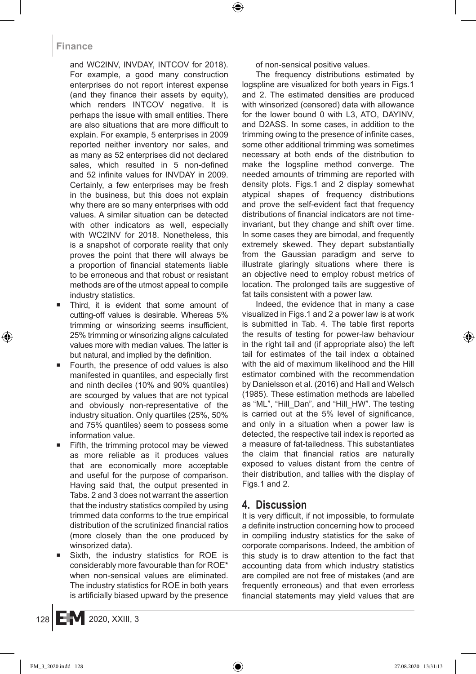and WC2INV, INVDAY, INTCOV for 2018). For example, a good many construction enterprises do not report interest expense (and they finance their assets by equity), which renders INTCOV negative. It is perhaps the issue with small entities. There are also situations that are more difficult to explain. For example, 5 enterprises in 2009 reported neither inventory nor sales, and as many as 52 enterprises did not declared sales, which resulted in 5 non-defined and 52 infinite values for INVDAY in 2009. Certainly, a few enterprises may be fresh in the business, but this does not explain why there are so many enterprises with odd values. A similar situation can be detected with other indicators as well, especially with WC2INV for 2018. Nonetheless, this is a snapshot of corporate reality that only proves the point that there will always be a proportion of financial statements liable to be erroneous and that robust or resistant methods are of the utmost appeal to compile industry statistics.

- Third, it is evident that some amount of cutting-off values is desirable. Whereas 5% trimming or winsorizing seems insufficient, 25% trimming or winsorizing aligns calculated values more with median values. The latter is but natural, and implied by the definition.
- Fourth, the presence of odd values is also manifested in quantiles, and especially first and ninth deciles (10% and 90% quantiles) are scourged by values that are not typical and obviously non-representative of the industry situation. Only quartiles (25%, 50% and 75% quantiles) seem to possess some information value.
- Fifth, the trimming protocol may be viewed as more reliable as it produces values that are economically more acceptable and useful for the purpose of comparison. Having said that, the output presented in Tabs. 2 and 3 does not warrant the assertion that the industry statistics compiled by using trimmed data conforms to the true empirical distribution of the scrutinized financial ratios (more closely than the one produced by winsorized data).
- Sixth, the industry statistics for ROE is considerably more favourable than for ROE\* when non-sensical values are eliminated. The industry statistics for ROE in both years is artificially biased upward by the presence

of non-sensical positive values.

The frequency distributions estimated by logspline are visualized for both years in Figs.1 and 2. The estimated densities are produced with winsorized (censored) data with allowance for the lower bound 0 with L3, ATO, DAYINV, and D2ASS. In some cases, in addition to the trimming owing to the presence of infinite cases, some other additional trimming was sometimes necessary at both ends of the distribution to make the logspline method converge. The needed amounts of trimming are reported with density plots. Figs.1 and 2 display somewhat atypical shapes of frequency distributions and prove the self-evident fact that frequency distributions of financial indicators are not timeinvariant, but they change and shift over time. In some cases they are bimodal, and frequently extremely skewed. They depart substantially from the Gaussian paradigm and serve to illustrate glaringly situations where there is an objective need to employ robust metrics of location. The prolonged tails are suggestive of fat tails consistent with a power law.

Indeed, the evidence that in many a case visualized in Figs.1 and 2 a power law is at work is submitted in Tab. 4. The table first reports the results of testing for power-law behaviour in the right tail and (if appropriate also) the left tail for estimates of the tail index α obtained with the aid of maximum likelihood and the Hill estimator combined with the recommendation by Danielsson et al. (2016) and Hall and Welsch (1985). These estimation methods are labelled as "ML", "Hill\_Dan", and "Hill\_HW". The testing is carried out at the 5% level of significance, and only in a situation when a power law is detected, the respective tail index is reported as a measure of fat-tailedness. This substantiates the claim that financial ratios are naturally exposed to values distant from the centre of their distribution, and tallies with the display of Figs.1 and 2.

# **4. Discussion**

It is very difficult, if not impossible, to formulate a definite instruction concerning how to proceed in compiling industry statistics for the sake of corporate comparisons. Indeed, the ambition of this study is to draw attention to the fact that accounting data from which industry statistics are compiled are not free of mistakes (and are frequently erroneous) and that even errorless financial statements may yield values that are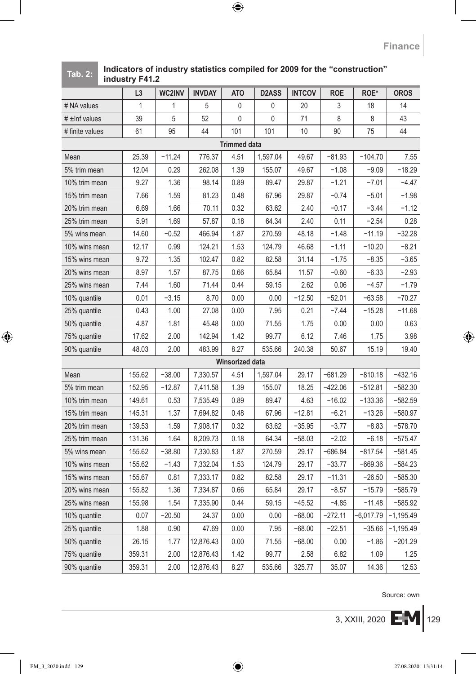#### **Tab. 2: Indicators of industry statistics compiled for 2009 for the "construction" industry F41.2**

|                     | L3     | WC2INV   | <b>INVDAY</b> | AT <sub>O</sub> | D <sub>2</sub> ASS | <b>INTCOV</b> | ROE       | ROE*      | <b>OROS</b> |
|---------------------|--------|----------|---------------|-----------------|--------------------|---------------|-----------|-----------|-------------|
| # NA values         | 1      | 1        | 5             | 0               | 0                  | 20            | 3         | 18        | 14          |
| $\#$ ±lnf values    | 39     | 5        | 52            | 0               | 0                  | 71            | 8         | 8         | 43          |
| # finite values     | 61     | 95       | 44            | 101             | 101                | 10            | 90        | 75        | 44          |
| <b>Trimmed data</b> |        |          |               |                 |                    |               |           |           |             |
| Mean                | 25.39  | $-11.24$ | 776.37        | 4.51            | 1,597.04           | 49.67         | $-81.93$  | $-104.70$ | 7.55        |
| 5% trim mean        | 12.04  | 0.29     | 262.08        | 1.39            | 155.07             | 49.67         | $-1.08$   | $-9.09$   | $-18.29$    |
| 10% trim mean       | 9.27   | 1.36     | 98.14         | 0.89            | 89.47              | 29.87         | $-1.21$   | $-7.01$   | $-4.47$     |
| 15% trim mean       | 7.66   | 1.59     | 81.23         | 0.48            | 67.96              | 29.87         | $-0.74$   | $-5.01$   | $-1.98$     |
| 20% trim mean       | 6.69   | 1.66     | 70.11         | 0.32            | 63.62              | 2.40          | $-0.17$   | $-3.44$   | $-1.12$     |
| 25% trim mean       | 5.91   | 1.69     | 57.87         | 0.18            | 64.34              | 2.40          | 0.11      | $-2.54$   | 0.28        |
| 5% wins mean        | 14.60  | $-0.52$  | 466.94        | 1.87            | 270.59             | 48.18         | $-1.48$   | $-11.19$  | $-32.28$    |
| 10% wins mean       | 12.17  | 0.99     | 124.21        | 1.53            | 124.79             | 46.68         | $-1.11$   | $-10.20$  | $-8.21$     |
| 15% wins mean       | 9.72   | 1.35     | 102.47        | 0.82            | 82.58              | 31.14         | $-1.75$   | $-8.35$   | $-3.65$     |
| 20% wins mean       | 8.97   | 1.57     | 87.75         | 0.66            | 65.84              | 11.57         | $-0.60$   | $-6.33$   | $-2.93$     |
| 25% wins mean       | 7.44   | 1.60     | 71.44         | 0.44            | 59.15              | 2.62          | 0.06      | $-4.57$   | $-1.79$     |
| 10% quantile        | 0.01   | $-3.15$  | 8.70          | 0.00            | 0.00               | $-12.50$      | $-52.01$  | $-63.58$  | $-70.27$    |
| 25% quantile        | 0.43   | 1.00     | 27.08         | 0.00            | 7.95               | 0.21          | $-7.44$   | $-15.28$  | $-11.68$    |
| 50% quantile        | 4.87   | 1.81     | 45.48         | 0.00            | 71.55              | 1.75          | 0.00      | 0.00      | 0.63        |
| 75% quantile        | 17.62  | 2.00     | 142.94        | 1.42            | 99.77              | 6.12          | 7.46      | 1.75      | 3.98        |
| 90% quantile        | 48.03  | 2.00     | 483.99        | 8.27            | 535.66             | 240.38        | 50.67     | 15.19     | 19.40       |
|                     |        |          |               | Winsorized data |                    |               |           |           |             |
| Mean                | 155.62 | $-38.00$ | 7,330.57      | 4.51            | 1,597.04           | 29.17         | $-681.29$ | $-810.18$ | $-432.16$   |
| 5% trim mean        | 152.95 | $-12.87$ | 7,411.58      | 1.39            | 155.07             | 18.25         | $-422.06$ | $-512.81$ | $-582.30$   |
| 10% trim mean       | 149.61 | 0.53     | 7,535.49      | 0.89            | 89.47              | 4.63          | $-16.02$  | $-133.36$ | $-582.59$   |
| 15% trim mean       | 145.31 | 1.37     | 7,694.82      | 0.48            | 67.96              | $-12.81$      | $-6.21$   | $-13.26$  | -580.97     |
| 20% trim mean       | 139.53 | 1.59     | 7,908.17      | 0.32            | 63.62              | $-35.95$      | $-3.77$   | $-8.83$   | $-578.70$   |
| 25% trim mean       | 131.36 | 1.64     | 8,209.73      | 0.18            | 64.34              | $-58.03$      | $-2.02$   | $-6.18$   | -575.47     |
| 5% wins mean        | 155.62 | $-38.80$ | 7,330.83      | 1.87            | 270.59             | 29.17         | $-686.84$ | $-817.54$ | -581.45     |
| 10% wins mean       | 155.62 | $-1.43$  | 7,332.04      | 1.53            | 124.79             | 29.17         | $-33.77$  | $-669.36$ | -584.23     |
| 15% wins mean       | 155.67 | 0.81     | 7,333.17      | 0.82            | 82.58              | 29.17         | $-11.31$  | $-26.50$  | $-585.30$   |
| 20% wins mean       | 155.82 | 1.36     | 7,334.87      | 0.66            | 65.84              | 29.17         | $-8.57$   | $-15.79$  | $-585.79$   |
| 25% wins mean       | 155.98 | 1.54     | 7,335.90      | 0.44            | 59.15              | $-45.52$      | $-4.85$   | $-11.48$  | $-585.92$   |
| 10% quantile        | 0.07   | $-20.50$ | 24.37         | 0.00            | 0.00               | $-68.00$      | $-272.11$ | -6,017.79 | -1,195.49   |
| 25% quantile        | 1.88   | 0.90     | 47.69         | 0.00            | 7.95               | $-68.00$      | $-22.51$  | $-35.66$  | -1,195.49   |
| 50% quantile        | 26.15  | 1.77     | 12,876.43     | 0.00            | 71.55              | $-68.00$      | 0.00      | $-1.86$   | $-201.29$   |
| 75% quantile        | 359.31 | 2.00     | 12,876.43     | 1.42            | 99.77              | 2.58          | 6.82      | 1.09      | 1.25        |
| 90% quantile        | 359.31 | 2.00     | 12,876.43     | 8.27            | 535.66             | 325.77        | 35.07     | 14.36     | 12.53       |

Source: own

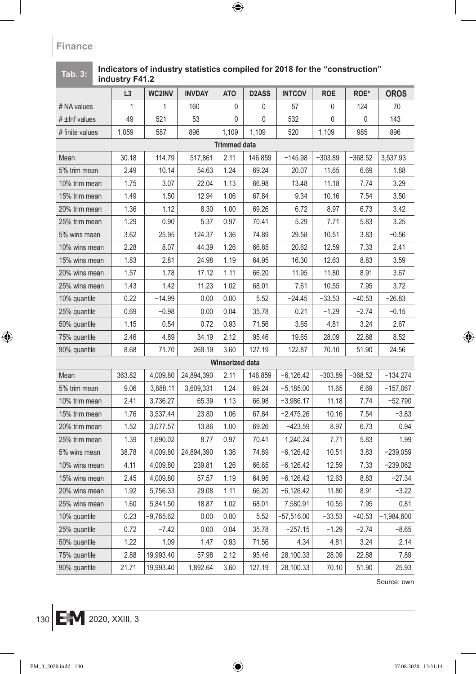# **L3 WC2INV INVDAY ATO D2ASS INTCOV ROE ROE\* OROS** # NA values | 1 | 1 | 160 | 0 | 0 | 57 | 0 | 124 | 70 #±Infvalues | 49 | 521 | 53 | 0| 0 | 532 | 0 | 0 | 143 # finite values | 1,059 | 587 | 896 | 1,109 | 1,109 | 520 | 1,109 | 985 | 896 **Trimmed data** Mean | 30.18 | 114.79 | 517,861 | 2.11 | 146,859 | −145.98 | −303.89 | −368.52 |3,537.93 5% trim mean | 2.49 | 10.14 | 54.63 | 1.24 | 69.24 | 20.07 | 11.65 | 6.69 | 1.88 10% trim mean | 1.75 | 3.07 | 22.04 | 1.13 | 66.98 | 13.48 | 11.18 | 7.74 | 3.29 15% trim mean | 1.49 | 1.50 | 12.94 | 1.06 | 67.84 | 9.34 | 10.16 | 7.54 | 3.50 20% trim mean | 1.36 | 1.12 | 8.30 | 1.00 | 69.26 | 6.72 | 8.97 | 6.73 | 3.42 25% trim mean | 1.29 | 0.90 | 5.37 | 0.97 | 70.41 | 5.29 | 7.71 | 5.83 | 3.25 5% wins mean | 3.62 | 25.95 | 124.37 | 1.36 | 74.89 | 29.58 | 10.51 | 3.83 | −0.56 10% wins mean | 2.28 | 8.07 | 44.39 | 1.26 | 66.85 | 20.62 | 12.59 | 7.33 | 2.41 15% wins mean | 1.83 | 2.81 | 24.98 | 1.19 | 64.95 | 16.30 | 12.63 | 8.83 | 3.59 20% wins mean | 1.57 | 1.78 | 17.12 | 1.11 | 66.20 | 11.95 | 11.80 | 8.91 | 3.67 25% wins mean | 1.43 | 1.42 | 11.23 | 1.02 | 68.01 | 1.7.61 | 10.55 | 7.95 | 3.72 10% quantile  $\begin{array}{|l|c|c|c|c|c|} \hline \end{array}$  0.22  $\begin{array}{|l|c|c|c|c|} \hline \end{array}$  −14.99  $\begin{array}{|l|c|c|c|c|} \hline \end{array}$  0.00  $\begin{array}{|l|c|c|c|} \hline \end{array}$  5.52  $\begin{array}{|l|c|c|c|c|} \hline \end{array}$  −33.53  $\begin{array}{|l|c|c|c|c|} \hline \end{array}$  −26.83 25% quantile | 0.69 −0.98 | 0.00 | 0.04 | 35.78 | 0.21 | −1.29 | −2.74 | −0.15 50% quantile | 1.15 | 0.54 | 0.72 | 0.93 | 71.56 | 3.65 | 4.81 | 3.24 | 2.67 75% quantile | 2.46 | 4.89 | 34.19 | 2.12 | 95.46 | 19.65 | 28.09 | 22.88 | 8.52 90% quantile 8.68 71.70 | 269.19 | 3.60 | 127.19 | 122.87 | 70.10 | 51.90 | 24.56 **Winsorized data** Mean 363.82 4,009.80 24,894,390 2.11 146,859 −6,126.42 −303.89 −368.52 −134,274 5% trim mean 9.06 3,888.11 3,609,331 1.24 69.24 −5,185.00 11.65 6.69 −157,067 10% trim mean | 2.41 | 3,736.27 | 65.39 | 1.13 | 66.98 | −3,986.17 | 11.18 | 7.74 | −52,790 15% trim mean | 1.76 | 3,537.44 | 23.80 | 1.06 | 67.84 | −2,475.26 | 10.16 | 7.54 | −3.83 20% trim mean | 1.52 | 3,077.57 | 13.86 | 1.00 | 69.26 | −423.59 | 8.97 | 6.73 | 0.94 25% trim mean | 1.39 | 1,690.02 | 8.77 | 0.97 | 70.41 | 1,240.24 | 7.71 | 5.83 | 1.99 5% wins mean 38.78 4,009.80 24,894,390 1.36 74.89 −6,126.42 10.51 3.83 −239,059 10% wins mean | 4.11 | 4,009.80 | 239.81 | 1.26 | 66.85 | −6,126.42 | 12.59 | 7.33 | −239,062 15% wins mean | 2.45 | 4,009.80 | 57.57 | 1.19 | 64.95 | −6,126.42 | 12.63 | 8.83 | −27.34 20% wins mean | 1.92 | 5,756.33 | 29.08 | 1.11 | 66.20 | −6,126.42 | 11.80 | 8.91 | −3.22 25% wins mean | 1.60 | 5,841.50 | 18.87 | 1.02 | 68.01 | 7,580.91 | 10.55 | 7.95 | 0.81 10% quantile  $\begin{array}{|c|c|c|c|c|c|} \hline \rule{0pt}{12pt} & 0.23 & -9,765.62 & 0.00 & 0.00 & 5.52 & -57,516.00 & -33.53 & -40.53 & -1,984,600 \hline \end{array}$ 25% quantile 0.72 −7.42 0.00 0.04 35.78 −257.15 −1.29 −2.74 −8.65 50% quantile | 1.22 | 1.09 | 1.47 | 0.93 | 71.56 | 4.34 | 4.81 | 3.24 | 2.14 75% quantile 2.88 19,993.40 57.98 2.12 95.46 28,100.33 28.09 22.88 7.89 90% quantile 21.71 19,993.40 1,892.64 3.60 127.19 28,100.33 70.10 51.90 25.93

#### **Tab. 3: Indicators of industry statistics compiled for 2018 for the "construction" industry F41.2**

Source: own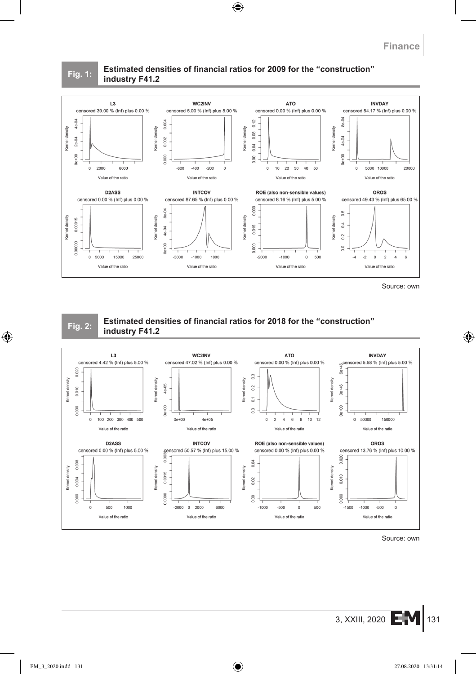#### **Fig. 1: Estimated densities of financial ratios for 2009 for the "construction" industry F41.2**



Source: own



#### **Fig. 2: Estimated densities of financial ratios for 2018 for the "construction" industry F41.2**



Source: own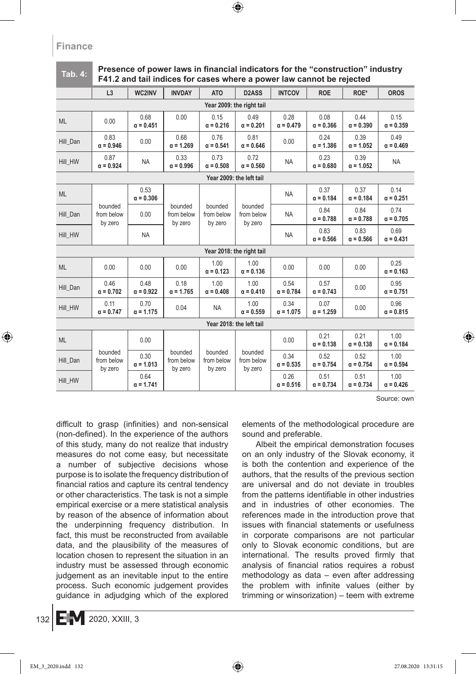#### Presence of power laws in financial indicators for the "construction" industry **F41.2 and tail indices for cases where a power law cannot be rejected**

|                           | L3                               | WC2INV                                                       | <b>INVDAY</b>                    | <b>ATO</b>                       | D <sub>2</sub> ASS               | <b>INTCOV</b>            | <b>ROE</b>               | ROE*                     | <b>OROS</b>              |  |
|---------------------------|----------------------------------|--------------------------------------------------------------|----------------------------------|----------------------------------|----------------------------------|--------------------------|--------------------------|--------------------------|--------------------------|--|
| Year 2009: the right tail |                                  |                                                              |                                  |                                  |                                  |                          |                          |                          |                          |  |
| <b>ML</b>                 | 0.00                             | 0.68<br>$\alpha = 0.451$                                     | 0.00                             | 0.15<br>$\alpha = 0.216$         | 0.49<br>$\alpha = 0.201$         | 0.28<br>$\alpha = 0.479$ | 0.08<br>$\alpha = 0.366$ | 0.44<br>$\alpha = 0.390$ | 0.15<br>$\alpha = 0.359$ |  |
| Hill Dan                  | 0.83<br>$\alpha = 0.946$         | 0.00                                                         | 0.68<br>$\alpha = 1.269$         | 0.76<br>$\alpha = 0.541$         | 0.81<br>$\alpha = 0.646$         | 0.00                     | 0.24<br>$\alpha = 1.386$ | 0.39<br>$\alpha = 1.052$ | 0.49<br>$\alpha = 0.469$ |  |
| Hill HW                   | 0.87<br>$\alpha = 0.924$         | <b>NA</b>                                                    | 0.33<br>$\alpha = 0.996$         | 0.73<br>$\alpha = 0.508$         | 0.72<br>$\alpha = 0.560$         | <b>NA</b>                | 0.23<br>$\alpha = 0.680$ | 0.39<br>$\alpha = 1.052$ | <b>NA</b>                |  |
| Year 2009: the left tail  |                                  |                                                              |                                  |                                  |                                  |                          |                          |                          |                          |  |
| <b>ML</b>                 |                                  | 0.53<br>$\alpha = 0.306$                                     |                                  |                                  |                                  | <b>NA</b>                | 0.37<br>$\alpha = 0.184$ | 0.37<br>$\alpha = 0.184$ | 0.14<br>$\alpha = 0.251$ |  |
| Hill_Dan                  | bounded<br>from below<br>by zero | 0.00                                                         | bounded<br>from below<br>by zero | bounded<br>from below<br>by zero | bounded<br>from below<br>by zero | <b>NA</b>                | 0.84<br>$\alpha = 0.788$ | 0.84<br>$\alpha = 0.788$ | 0.74<br>$\alpha = 0.705$ |  |
| Hill HW                   |                                  | <b>NA</b>                                                    |                                  |                                  |                                  | <b>NA</b>                | 0.83<br>$\alpha = 0.566$ | 0.83<br>$\alpha = 0.566$ | 0.69<br>$\alpha = 0.431$ |  |
|                           | Year 2018: the right tail        |                                                              |                                  |                                  |                                  |                          |                          |                          |                          |  |
| <b>ML</b>                 | 0.00                             | 0.00                                                         | 0.00                             | 1.00<br>$\alpha = 0.123$         | 1.00<br>$\alpha = 0.136$         | 0.00                     | 0.00                     | 0.00                     | 0.25<br>$\alpha = 0.163$ |  |
| Hill Dan                  | 0.46<br>$\alpha = 0.702$         | 0.48<br>$\alpha = 0.922$                                     | 0.18<br>$\alpha = 1.765$         | 1.00<br>$\alpha = 0.408$         | 1.00<br>$\alpha = 0.410$         | 0.54<br>$\alpha = 0.784$ | 0.57<br>$\alpha = 0.743$ | 0.00                     | 0.95<br>$\alpha = 0.751$ |  |
| Hill_HW                   | 0.11<br>$\alpha = 0.747$         | 0.70<br>$\alpha = 1.175$                                     | 0.04                             | <b>NA</b>                        | 1.00<br>$\alpha = 0.559$         | 0.34<br>$\alpha = 1.075$ | 0.07<br>$\alpha = 1.259$ | 0.00                     | 0.96<br>$\alpha = 0.815$ |  |
| Year 2018: the left tail  |                                  |                                                              |                                  |                                  |                                  |                          |                          |                          |                          |  |
| <b>ML</b>                 |                                  | 0.00                                                         |                                  |                                  |                                  | 0.00                     | 0.21<br>$\alpha = 0.138$ | 0.21<br>$\alpha = 0.138$ | 1.00<br>$\alpha = 0.184$ |  |
| Hill_Dan                  | bounded<br>from below<br>by zero | bounded<br>0.30<br>from below<br>$\alpha = 1.013$<br>by zero | bounded<br>from below<br>by zero | bounded<br>from below<br>by zero | 0.34<br>$\alpha = 0.535$         | 0.52<br>$\alpha = 0.754$ | 0.52<br>$\alpha = 0.754$ | 1.00<br>$\alpha = 0.594$ |                          |  |
| Hill HW                   |                                  | 0.64<br>$\alpha = 1.741$                                     |                                  |                                  |                                  | 0.26<br>$\alpha = 0.516$ | 0.51<br>$\alpha = 0.734$ | 0.51<br>$\alpha = 0.734$ | 1.00<br>$\alpha = 0.426$ |  |

Source: own

difficult to grasp (infinities) and non-sensical (non-defined). In the experience of the authors of this study, many do not realize that industry measures do not come easy, but necessitate a number of subjective decisions whose purpose is to isolate the frequency distribution of financial ratios and capture its central tendency or other characteristics. The task is not a simple empirical exercise or a mere statistical analysis by reason of the absence of information about the underpinning frequency distribution. In fact, this must be reconstructed from available data, and the plausibility of the measures of location chosen to represent the situation in an industry must be assessed through economic judgement as an inevitable input to the entire process. Such economic judgement provides guidance in adjudging which of the explored elements of the methodological procedure are sound and preferable.

Albeit the empirical demonstration focuses on an only industry of the Slovak economy, it is both the contention and experience of the authors, that the results of the previous section are universal and do not deviate in troubles from the patterns identifiable in other industries and in industries of other economies. The references made in the introduction prove that issues with financial statements or usefulness in corporate comparisons are not particular only to Slovak economic conditions, but are international. The results proved firmly that analysis of financial ratios requires a robust methodology as data – even after addressing the problem with infinite values (either by trimming or winsorization) – teem with extreme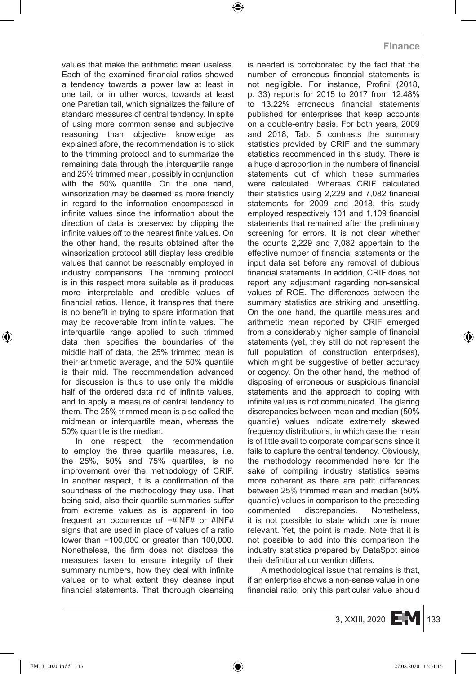values that make the arithmetic mean useless. Each of the examined financial ratios showed a tendency towards a power law at least in one tail, or in other words, towards at least one Paretian tail, which signalizes the failure of standard measures of central tendency. In spite of using more common sense and subjective reasoning than objective knowledge as explained afore, the recommendation is to stick to the trimming protocol and to summarize the remaining data through the interquartile range and 25% trimmed mean, possibly in conjunction with the 50% quantile. On the one hand, winsorization may be deemed as more friendly in regard to the information encompassed in infinite values since the information about the direction of data is preserved by clipping the infinite values off to the nearest finite values. On the other hand, the results obtained after the winsorization protocol still display less credible values that cannot be reasonably employed in industry comparisons. The trimming protocol is in this respect more suitable as it produces more interpretable and credible values of financial ratios. Hence, it transpires that there is no benefit in trying to spare information that may be recoverable from infinite values. The interquartile range applied to such trimmed data then specifies the boundaries of the middle half of data, the 25% trimmed mean is their arithmetic average, and the 50% quantile is their mid. The recommendation advanced for discussion is thus to use only the middle half of the ordered data rid of infinite values, and to apply a measure of central tendency to them. The 25% trimmed mean is also called the midmean or interquartile mean, whereas the 50% quantile is the median.

In one respect, the recommendation to employ the three quartile measures, i.e. the 25%, 50% and 75% quartiles, is no improvement over the methodology of CRIF. In another respect, it is a confirmation of the soundness of the methodology they use. That being said, also their quartile summaries suffer from extreme values as is apparent in too frequent an occurrence of −#INF# or #INF# signs that are used in place of values of a ratio lower than −100,000 or greater than 100,000. Nonetheless, the firm does not disclose the measures taken to ensure integrity of their summary numbers, how they deal with infinite values or to what extent they cleanse input financial statements. That thorough cleansing is needed is corroborated by the fact that the number of erroneous financial statements is not negligible. For instance, Profini (2018, p. 33) reports for 2015 to 2017 from 12.48% to 13.22% erroneous financial statements published for enterprises that keep accounts on a double-entry basis. For both years, 2009 and 2018, Tab. 5 contrasts the summary statistics provided by CRIF and the summary statistics recommended in this study. There is a huge disproportion in the numbers of financial statements out of which these summaries were calculated. Whereas CRIF calculated their statistics using 2,229 and 7,082 financial statements for 2009 and 2018, this study employed respectively 101 and 1,109 financial statements that remained after the preliminary screening for errors. It is not clear whether the counts 2,229 and 7,082 appertain to the effective number of financial statements or the input data set before any removal of dubious financial statements. In addition, CRIF does not report any adjustment regarding non-sensical values of ROE. The differences between the summary statistics are striking and unsettling. On the one hand, the quartile measures and arithmetic mean reported by CRIF emerged from a considerably higher sample of financial statements (yet, they still do not represent the full population of construction enterprises), which might be suggestive of better accuracy or cogency. On the other hand, the method of disposing of erroneous or suspicious financial statements and the approach to coping with infinite values is not communicated. The glaring discrepancies between mean and median (50% quantile) values indicate extremely skewed frequency distributions, in which case the mean is of little avail to corporate comparisons since it fails to capture the central tendency. Obviously, the methodology recommended here for the sake of compiling industry statistics seems more coherent as there are petit differences between 25% trimmed mean and median (50% quantile) values in comparison to the preceding commented discrepancies. Nonetheless, it is not possible to state which one is more relevant. Yet, the point is made. Note that it is not possible to add into this comparison the industry statistics prepared by DataSpot since their definitional convention differs.

A methodological issue that remains is that, if an enterprise shows a non-sense value in one financial ratio, only this particular value should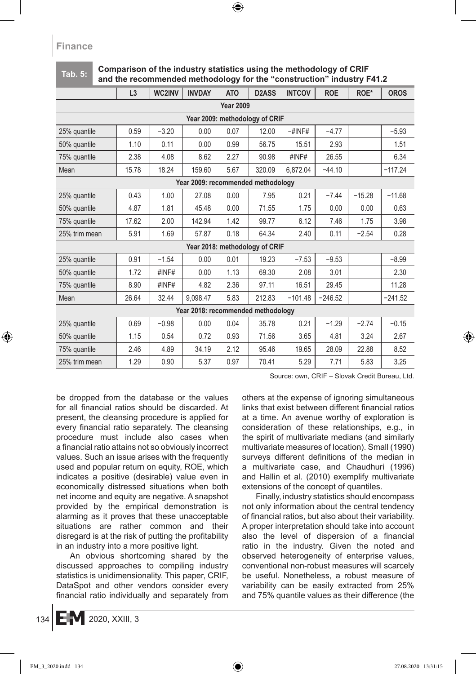#### **Tab. 5: Comparison of the industry statistics using the methodology of CRIF and the recommended methodology for the "construction" industry F41.2**

|                                    | L3    | WC2INV  | <b>INVDAY</b> | <b>ATO</b> | D <sub>2</sub> ASS             | <b>INTCOV</b> | <b>ROE</b> | ROE*     | <b>OROS</b> |
|------------------------------------|-------|---------|---------------|------------|--------------------------------|---------------|------------|----------|-------------|
| <b>Year 2009</b>                   |       |         |               |            |                                |               |            |          |             |
| Year 2009: methodology of CRIF     |       |         |               |            |                                |               |            |          |             |
| 25% quantile                       | 0.59  | $-3.20$ | 0.00          | 0.07       | 12.00                          | $-$ #INF#     | $-4.77$    |          | $-5.93$     |
| 50% quantile                       | 1.10  | 0.11    | 0.00          | 0.99       | 56.75                          | 15.51         | 2.93       |          | 1.51        |
| 75% quantile                       | 2.38  | 4.08    | 8.62          | 2.27       | 90.98                          | #INF#         | 26.55      |          | 6.34        |
| Mean                               | 15.78 | 18.24   | 159.60        | 5.67       | 320.09                         | 6,872.04      | $-44.10$   |          | $-117.24$   |
| Year 2009: recommended methodology |       |         |               |            |                                |               |            |          |             |
| 25% quantile                       | 0.43  | 1.00    | 27.08         | 0.00       | 7.95                           | 0.21          | $-7.44$    | $-15.28$ | $-11.68$    |
| 50% quantile                       | 4.87  | 1.81    | 45.48         | 0.00       | 71.55                          | 1.75          | 0.00       | 0.00     | 0.63        |
| 75% quantile                       | 17.62 | 2.00    | 142.94        | 1.42       | 99.77                          | 6.12          | 7.46       | 1.75     | 3.98        |
| 25% trim mean                      | 5.91  | 1.69    | 57.87         | 0.18       | 64.34                          | 2.40          | 0.11       | $-2.54$  | 0.28        |
|                                    |       |         |               |            | Year 2018: methodology of CRIF |               |            |          |             |
| 25% quantile                       | 0.91  | $-1.54$ | 0.00          | 0.01       | 19.23                          | $-7.53$       | $-9.53$    |          | $-8.99$     |
| 50% quantile                       | 1.72  | #INF#   | 0.00          | 1.13       | 69.30                          | 2.08          | 3.01       |          | 2.30        |
| 75% quantile                       | 8.90  | #INF#   | 4.82          | 2.36       | 97.11                          | 16.51         | 29.45      |          | 11.28       |
| Mean                               | 26.64 | 32.44   | 9.098.47      | 5.83       | 212.83                         | $-101.48$     | $-246.52$  |          | $-241.52$   |
| Year 2018: recommended methodology |       |         |               |            |                                |               |            |          |             |
| 25% quantile                       | 0.69  | $-0.98$ | 0.00          | 0.04       | 35.78                          | 0.21          | $-1.29$    | $-2.74$  | $-0.15$     |
| 50% quantile                       | 1.15  | 0.54    | 0.72          | 0.93       | 71.56                          | 3.65          | 4.81       | 3.24     | 2.67        |
| 75% quantile                       | 2.46  | 4.89    | 34.19         | 2.12       | 95.46                          | 19.65         | 28.09      | 22.88    | 8.52        |
| 25% trim mean                      | 1.29  | 0.90    | 5.37          | 0.97       | 70.41                          | 5.29          | 7.71       | 5.83     | 3.25        |

Source: own, CRIF – Slovak Credit Bureau, Ltd.

be dropped from the database or the values for all financial ratios should be discarded. At present, the cleansing procedure is applied for every financial ratio separately. The cleansing procedure must include also cases when a financial ratio attains not so obviously incorrect values. Such an issue arises with the frequently used and popular return on equity, ROE, which indicates a positive (desirable) value even in economically distressed situations when both net income and equity are negative. A snapshot provided by the empirical demonstration is alarming as it proves that these unacceptable situations are rather common and their disregard is at the risk of putting the profitability in an industry into a more positive light.

An obvious shortcoming shared by the discussed approaches to compiling industry statistics is unidimensionality. This paper, CRIF, DataSpot and other vendors consider every financial ratio individually and separately from others at the expense of ignoring simultaneous links that exist between different financial ratios at a time. An avenue worthy of exploration is consideration of these relationships, e.g., in the spirit of multivariate medians (and similarly multivariate measures of location). Small (1990) surveys different definitions of the median in a multivariate case, and Chaudhuri (1996) and Hallin et al. (2010) exemplify multivariate extensions of the concept of quantiles.

Finally, industry statistics should encompass not only information about the central tendency of financial ratios, but also about their variability. A proper interpretation should take into account also the level of dispersion of a financial ratio in the industry. Given the noted and observed heterogeneity of enterprise values, conventional non-robust measures will scarcely be useful. Nonetheless, a robust measure of variability can be easily extracted from 25% and 75% quantile values as their difference (the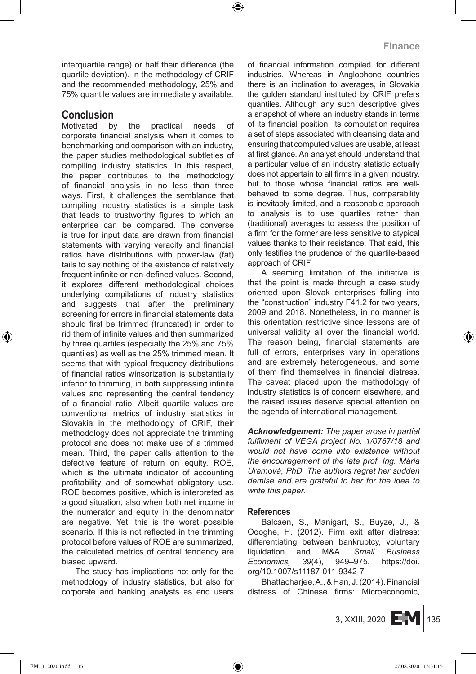interquartile range) or half their difference (the quartile deviation). In the methodology of CRIF and the recommended methodology, 25% and 75% quantile values are immediately available.

# **Conclusion**<br>Motivated b

by the practical needs of corporate financial analysis when it comes to benchmarking and comparison with an industry, the paper studies methodological subtleties of compiling industry statistics. In this respect, the paper contributes to the methodology of financial analysis in no less than three ways. First, it challenges the semblance that compiling industry statistics is a simple task that leads to trustworthy figures to which an enterprise can be compared. The converse is true for input data are drawn from financial statements with varying veracity and financial ratios have distributions with power-law (fat) tails to say nothing of the existence of relatively frequent infinite or non-defined values. Second, it explores different methodological choices underlying compilations of industry statistics and suggests that after the preliminary screening for errors in financial statements data should first be trimmed (truncated) in order to rid them of infinite values and then summarized by three quartiles (especially the 25% and 75% quantiles) as well as the 25% trimmed mean. It seems that with typical frequency distributions of financial ratios winsorization is substantially inferior to trimming, in both suppressing infinite values and representing the central tendency of a financial ratio. Albeit quartile values are conventional metrics of industry statistics in Slovakia in the methodology of CRIF, their methodology does not appreciate the trimming protocol and does not make use of a trimmed mean. Third, the paper calls attention to the defective feature of return on equity, ROE, which is the ultimate indicator of accounting profitability and of somewhat obligatory use. ROE becomes positive, which is interpreted as a good situation, also when both net income in the numerator and equity in the denominator are negative. Yet, this is the worst possible scenario. If this is not reflected in the trimming protocol before values of ROE are summarized, the calculated metrics of central tendency are biased upward.

The study has implications not only for the methodology of industry statistics, but also for corporate and banking analysts as end users of financial information compiled for different industries. Whereas in Anglophone countries there is an inclination to averages, in Slovakia the golden standard instituted by CRIF prefers quantiles. Although any such descriptive gives a snapshot of where an industry stands in terms of its financial position, its computation requires a set of steps associated with cleansing data and ensuring that computed values are usable, at least at first glance. An analyst should understand that a particular value of an industry statistic actually does not appertain to all firms in a given industry, but to those whose financial ratios are wellbehaved to some degree. Thus, comparability is inevitably limited, and a reasonable approach to analysis is to use quartiles rather than (traditional) averages to assess the position of a firm for the former are less sensitive to atypical values thanks to their resistance. That said, this only testifies the prudence of the quartile-based approach of CRIF.

A seeming limitation of the initiative is that the point is made through a case study oriented upon Slovak enterprises falling into the "construction" industry F41.2 for two years, 2009 and 2018. Nonetheless, in no manner is this orientation restrictive since lessons are of universal validity all over the financial world. The reason being, financial statements are full of errors, enterprises vary in operations and are extremely heterogeneous, and some of them find themselves in financial distress. The caveat placed upon the methodology of industry statistics is of concern elsewhere, and the raised issues deserve special attention on the agenda of international management.

*Acknowledgement: The paper arose in partial fulfilment of VEGA project No. 1/0767/18 and would not have come into existence without the encouragement of the late prof. Ing. Mária Uramová, PhD. The authors regret her sudden demise and are grateful to her for the idea to write this paper.*

#### **References**

Balcaen, S., Manigart, S., Buyze, J., & Oooghe, H. (2012). Firm exit after distress: differentiating between bankruptcy, voluntary liquidation and M&A. *Small Business Economics, 39*(4), 949–975. https://doi. org/10.1007/s11187-011-9342-7

Bhattacharjee, A., & Han, J. (2014). Financial distress of Chinese firms: Microeconomic,

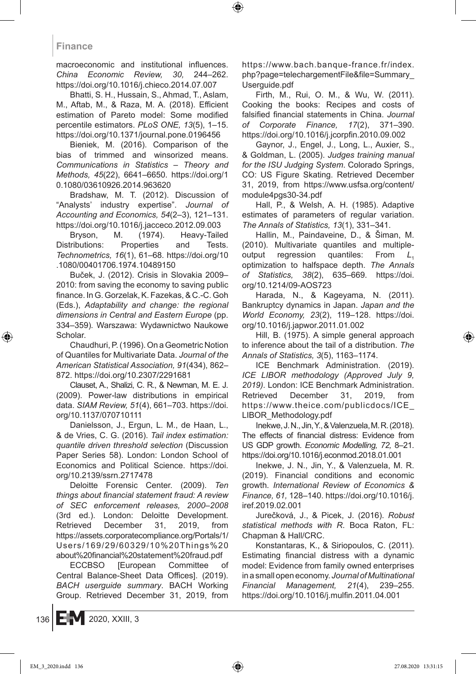macroeconomic and institutional influences. *China Economic Review, 30,* 244–262. https://doi.org/10.1016/j.chieco.2014.07.007

Bhatti, S. H., Hussain, S., Ahmad, T., Aslam, M., Aftab, M., & Raza, M. A. (2018). Efficient estimation of Pareto model: Some modified percentile estimators. *PLoS ONE, 13*(5), 1–15. https://doi.org/10.1371/journal.pone.0196456

Bieniek, M. (2016). Comparison of the bias of trimmed and winsorized means. *Communications in Statistics – Theory and Methods, 45*(22), 6641–6650. https://doi.org/1 0.1080/03610926.2014.963620

Bradshaw, M. T. (2012). Discussion of "Analysts' industry expertise". *Journal of Accounting and Economics, 54*(2–3), 121–131. https://doi.org/10.1016/j.jacceco.2012.09.003

Bryson, M. (1974). Heavy-Tailed Distributions: Properties and Tests. *Technometrics, 16*(1), 61–68. https://doi.org/10 .1080/00401706.1974.10489150

Buček, J. (2012). Crisis in Slovakia 2009– 2010: from saving the economy to saving public finance. In G. Gorzelak, K. Fazekas, & C.-C. Goh (Eds.), *Adaptability and change: the regional dimensions in Central and Eastern Europe* (pp. 334–359)*.* Warszawa: Wydawnictwo Naukowe Scholar.

Chaudhuri, P.(1996). On aGeometric Notion of Quantiles for Multivariate Data. *Journal of the American Statistical Association, 91*(434), 862– 872. https://doi.org/10.2307/2291681

Clauset, A., Shalizi, C. R., & Newman, M. E. J. (2009). Power-law distributions in empirical data. *SIAM Review, 51*(4), 661–703. https://doi. org/10.1137/070710111

Danielsson, J., Ergun, L. M., de Haan, L., & de Vries, C. G. (2016). *Tail index estimation: quantile driven threshold selection* (Discussion Paper Series 58). London: London School of Economics and Political Science. https://doi. org/10.2139/ssrn.2717478

Deloitte Forensic Center. (2009). *Ten things about financial statement fraud: A review of SEC enforcement releases, 2000–2008* (3rd ed.). London: Deloitte Development. Retrieved December 31, 2019, from https://assets.corporatecompliance.org/Portals/1/ Users/169/29/60329/10%20Things%20 about%20financial%20statement%20fraud.pdf

ECCBSO [European Committee of Central Balance-Sheet Data Offices]. (2019). *BACH userguide summary*. BACH Working Group. Retrieved December 31, 2019, from https://www.bach.banque-france.fr/index. php?page=telechargementFile&file=Summary\_ Userguide.pdf

Firth, M., Rui, O. M., & Wu, W. (2011). Cooking the books: Recipes and costs of falsified financial statements in China. *Journal of Corporate Finance, 17*(2), 371–390. https://doi.org/10.1016/j.jcorpfin.2010.09.002

Gaynor, J., Engel, J., Long, L., Auxier, S., & Goldman, L. (2005). *Judges training manual for the ISU Judging System*. Colorado Springs, CO: US Figure Skating. Retrieved December 31, 2019, from https://www.usfsa.org/content/ module4pgs30-34.pdf

Hall, P., & Welsh, A. H. (1985). Adaptive estimates of parameters of regular variation. *The Annals of Statistics, 13*(1), 331–341.

Hallin, M., Paindaveine, D., & Šiman, M. (2010). Multivariate quantiles and multipleoutput regression quantiles: From L<sub>1</sub> optimization to halfspace depth. *The Annals of Statistics, 38*(2), 635–669. https://doi. org/10.1214/09-AOS723

Harada, N., & Kageyama, N. (2011). Bankruptcy dynamics in Japan. *Japan and the World Economy, 23*(2), 119–128. https://doi. org/10.1016/j.japwor.2011.01.002

Hill, B. (1975). A simple general approach to inference about the tail of a distribution. *The Annals of Statistics, 3*(5), 1163–1174.

ICE Benchmark Administration. (2019). *ICE LIBOR methodology (Approved July 9, 2019).* London: ICE Benchmark Administration. Retrieved December 31, 2019, from https://www.theice.com/publicdocs/ICE\_ LIBOR\_Methodology.pdf

Inekwe, J. N., Jin, Y., & Valenzuela, M. R. (2018). The effects of financial distress: Evidence from US GDP growth. *Economic Modelling, 72,* 8–21. https://doi.org/10.1016/j.econmod.2018.01.001

Inekwe, J. N., Jin, Y., & Valenzuela, M. R. (2019). Financial conditions and economic growth. *International Review of Economics & Finance, 61,* 128–140. https://doi.org/10.1016/j. iref.2019.02.001

Jurečková, J., & Picek, J. (2016). *Robust statistical methods with R*. Boca Raton, FL: Chapman & Hall/CRC.

Konstantaras, K., & Siriopoulos, C. (2011). Estimating financial distress with a dynamic model: Evidence from family owned enterprises in asmall open economy. *Journal of Multinational Financial Management, 21*(4), 239–255. https://doi.org/10.1016/j.mulfin.2011.04.001